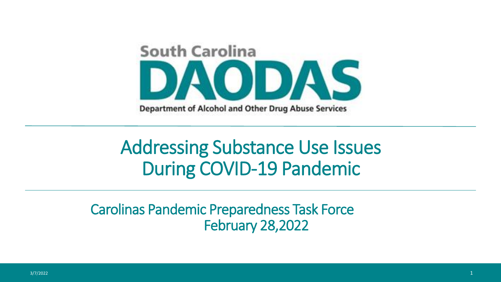

# Addressing Substance Use Issues During COVID-19 Pandemic

Carolinas Pandemic Preparedness Task Force February 28,2022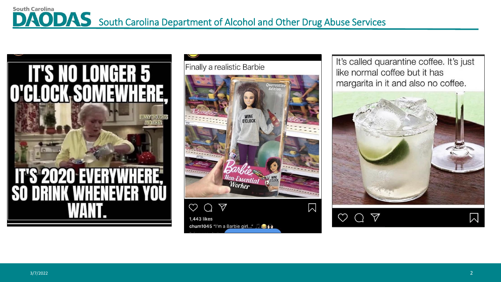#### **South Carolina** DAODAS South Carolina Department of Alcohol and Other Drug Abuse Services



Finally a realistic Barbie



**1,443 likes** chum1045 "I'm a Barbie girl..." It's called quarantine coffee. It's just like normal coffee but it has margarita in it and also no coffee.



 $\heartsuit$  $\bigtriangledown$  $\bigcap$ 

 $\mathsf{M}$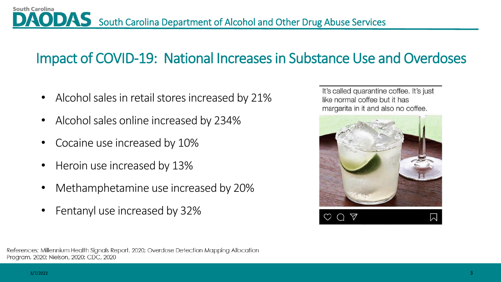## Impact of COVID-19: National Increases in Substance Use and Overdoses

- Alcohol sales in retail stores increased by 21%
- Alcohol sales online increased by 234%
- Cocaine use increased by 10%
- Heroin use increased by 13%
- Methamphetamine use increased by 20%
- Fentanyl use increased by 32%

It's called quarantine coffee. It's just like normal coffee but it has margarita in it and also no coffee.



**South Carolina**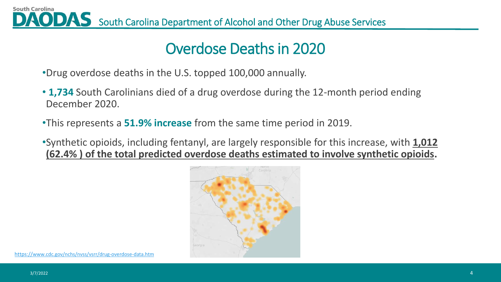**South Carolina** AODAS South Carolina Department of Alcohol and Other Drug Abuse Services

### Overdose Deaths in 2020

- •Drug overdose deaths in the U.S. topped 100,000 annually.
- **1,734** South Carolinians died of a drug overdose during the 12-month period ending December 2020.
- •This represents a **51.9% increase** from the same time period in 2019.
- •Synthetic opioids, including fentanyl, are largely responsible for this increase, with **1,012 (62.4% ) of the total predicted overdose deaths estimated to involve synthetic opioids.**

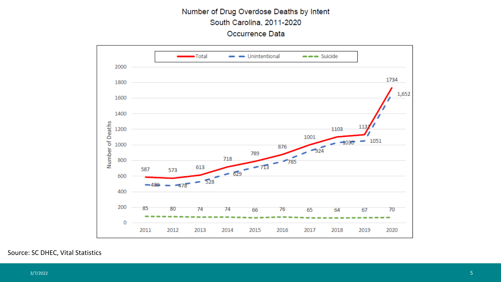#### Number of Drug Overdose Deaths by Intent South Carolina, 2011-2020 Occurrence Data



#### Source: SC DHEC, Vital Statistics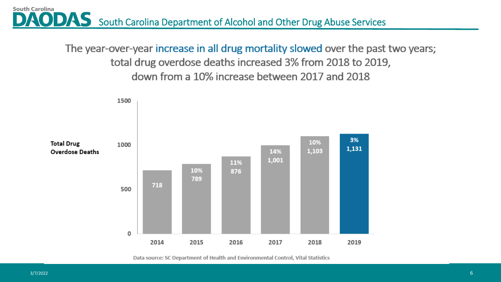AODAS South Carolina Department of Alcohol and Other Drug Abuse Services

The year-over-year increase in all drug mortality slowed over the past two years; total drug overdose deaths increased 3% from 2018 to 2019, down from a 10% increase between 2017 and 2018



Data source: SC Department of Health and Environmental Control, Vital Statistics

**South Carolina**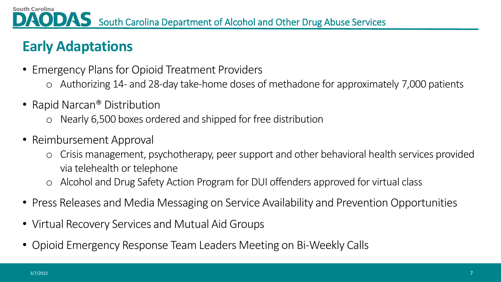# **Early Adaptations**

**South Carolina** 

- Emergency Plans for Opioid Treatment Providers
	- o Authorizing 14- and 28-day take-home doses of methadone for approximately 7,000 patients
- Rapid Narcan<sup>®</sup> Distribution
	- o Nearly 6,500 boxes ordered and shipped for free distribution
- Reimbursement Approval
	- o Crisis management, psychotherapy, peer support and other behavioral health services provided via telehealth or telephone
	- Alcohol and Drug Safety Action Program for DUI offenders approved for virtual class
- Press Releases and Media Messaging on Service Availability and Prevention Opportunities
- Virtual Recovery Services and Mutual Aid Groups
- Opioid Emergency Response Team Leaders Meeting on Bi-Weekly Calls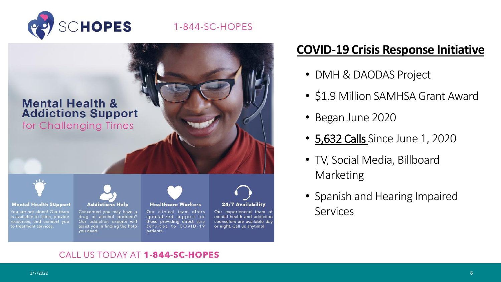

1-844-SC-HOPES



#### **COVID-19 Crisis Response Initiative**

- DMH & DAODAS Project
- \$1.9 Million SAMHSA Grant Award
- Began June 2020
- 5,632 Calls Since June 1, 2020
- TV, Social Media, Billboard Marketing
- Spanish and Hearing Impaired Services

#### CALL US TODAY AT 1-844-SC-HOPES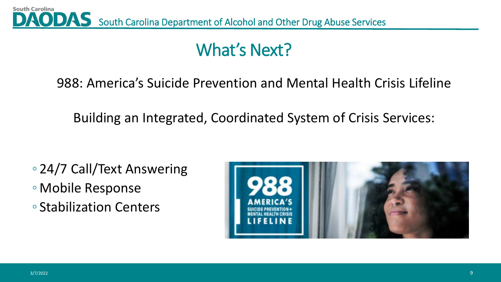

# What's Next?

988: America's Suicide Prevention and Mental Health Crisis Lifeline

Building an Integrated, Coordinated System of Crisis Services:

- 24/7 Call/Text Answering
- Mobile Response
- Stabilization Centers

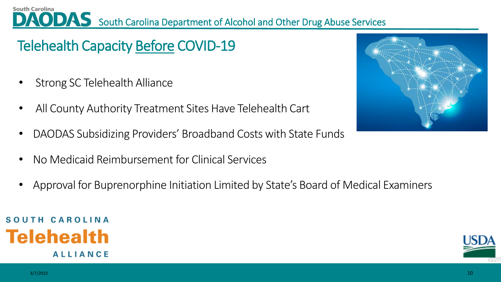South Carolina **South Carolina Department of Alcohol and Other Drug Abuse Services** 

# Telehealth Capacity Before COVID-19

- Strong SC Telehealth Alliance
- All County Authority Treatment Sites Have Telehealth Cart
- DAODAS Subsidizing Providers' Broadband Costs with State Funds
- No Medicaid Reimbursement for Clinical Services
- Approval for Buprenorphine Initiation Limited by State's Board of Medical Examiners





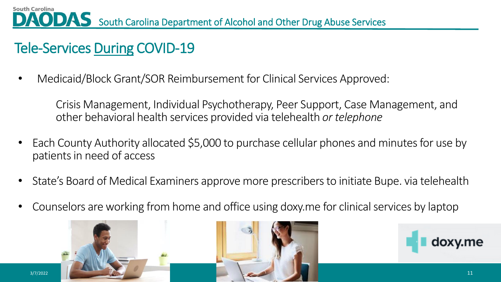# Tele-Services During COVID-19

• Medicaid/Block Grant/SOR Reimbursement for Clinical Services Approved:

Crisis Management, Individual Psychotherapy, Peer Support, Case Management, and other behavioral health services provided via telehealth *or telephone* 

- Each County Authority allocated \$5,000 to purchase cellular phones and minutes for use by patients in need of access
- State's Board of Medical Examiners approve more prescribers to initiate Bupe. via telehealth
- Counselors are working from home and office using doxy.me for clinical services by laptop





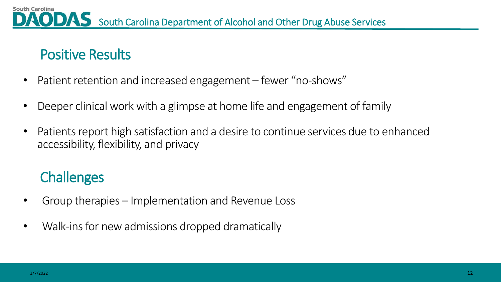### Positive Results

- Patient retention and increased engagement fewer "no-shows"
- Deeper clinical work with a glimpse at home life and engagement of family
- Patients report high satisfaction and a desire to continue services due to enhanced accessibility, flexibility, and privacy

# **Challenges**

- Group therapies Implementation and Revenue Loss
- Walk-ins for new admissions dropped dramatically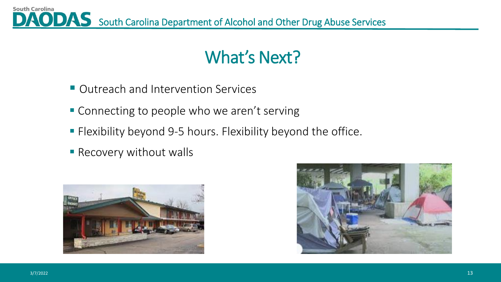**South Carolina** AODAS South Carolina Department of Alcohol and Other Drug Abuse Services

# What's Next?

- Outreach and Intervention Services
- Connecting to people who we aren't serving
- **Flexibility beyond 9-5 hours. Flexibility beyond the office.**
- **Recovery without walls**



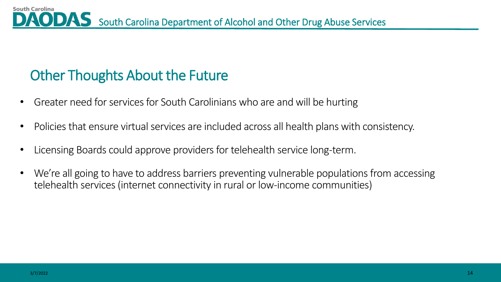## Other Thoughts About the Future

- Greater need for services for South Carolinians who are and will be hurting
- Policies that ensure virtual services are included across all health plans with consistency.
- Licensing Boards could approve providers for telehealth service long-term.
- We're all going to have to address barriers preventing vulnerable populations from accessing telehealth services (internet connectivity in rural or low-income communities)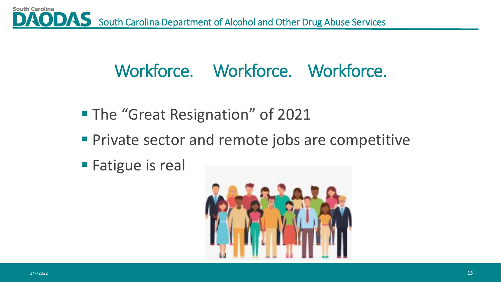# Workforce. Workforce. Workforce.

- The "Great Resignation" of 2021
- **Private sector and remote jobs are competitive**
- Fatigue is real